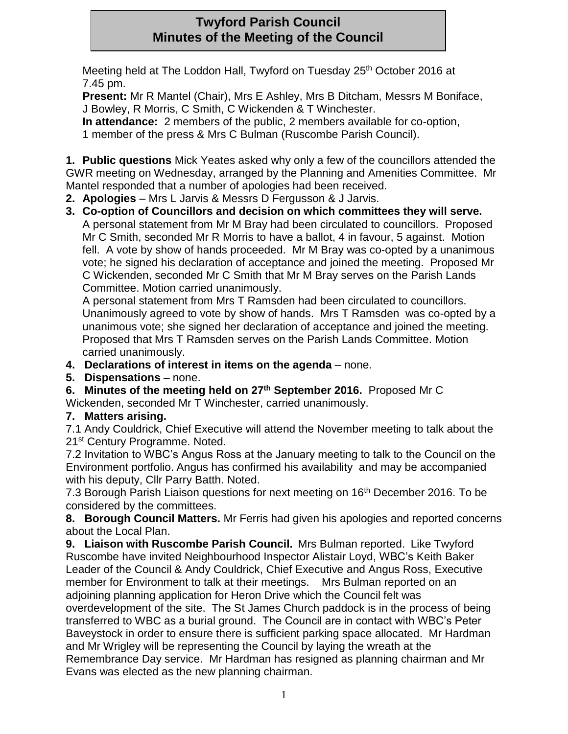# **Twyford Parish Council Minutes of the Meeting of the Council**

Meeting held at The Loddon Hall, Twyford on Tuesday 25<sup>th</sup> October 2016 at 7.45 pm.

**Present:** Mr R Mantel (Chair), Mrs E Ashley, Mrs B Ditcham, Messrs M Boniface, J Bowley, R Morris, C Smith, C Wickenden & T Winchester.

**In attendance:** 2 members of the public, 2 members available for co-option, 1 member of the press & Mrs C Bulman (Ruscombe Parish Council).

**1. Public questions** Mick Yeates asked why only a few of the councillors attended the GWR meeting on Wednesday, arranged by the Planning and Amenities Committee. Mr Mantel responded that a number of apologies had been received.

- **2. Apologies**  Mrs L Jarvis & Messrs D Fergusson & J Jarvis.
- **3. Co-option of Councillors and decision on which committees they will serve.**  A personal statement from Mr M Bray had been circulated to councillors. Proposed Mr C Smith, seconded Mr R Morris to have a ballot, 4 in favour, 5 against. Motion fell. A vote by show of hands proceeded. Mr M Bray was co-opted by a unanimous vote; he signed his declaration of acceptance and joined the meeting. Proposed Mr C Wickenden, seconded Mr C Smith that Mr M Bray serves on the Parish Lands Committee. Motion carried unanimously.

A personal statement from Mrs T Ramsden had been circulated to councillors. Unanimously agreed to vote by show of hands. Mrs T Ramsden was co-opted by a unanimous vote; she signed her declaration of acceptance and joined the meeting. Proposed that Mrs T Ramsden serves on the Parish Lands Committee. Motion carried unanimously.

- **4. Declarations of interest in items on the agenda**  none.
- **5. Dispensations**  none.
- **6. Minutes of the meeting held on 27th September 2016.** Proposed Mr C

Wickenden, seconded Mr T Winchester, carried unanimously.

## **7. Matters arising.**

7.1 Andy Couldrick, Chief Executive will attend the November meeting to talk about the 21<sup>st</sup> Century Programme. Noted.

7.2 Invitation to WBC's Angus Ross at the January meeting to talk to the Council on the Environment portfolio. Angus has confirmed his availability and may be accompanied with his deputy, Cllr Parry Batth. Noted.

7.3 Borough Parish Liaison questions for next meeting on 16<sup>th</sup> December 2016. To be considered by the committees.

**8. Borough Council Matters.** Mr Ferris had given his apologies and reported concerns about the Local Plan.

**9. Liaison with Ruscombe Parish Council.** Mrs Bulman reported. Like Twyford Ruscombe have invited Neighbourhood Inspector Alistair Loyd, WBC's Keith Baker Leader of the Council & Andy Couldrick, Chief Executive and Angus Ross, Executive member for Environment to talk at their meetings. Mrs Bulman reported on an adjoining planning application for Heron Drive which the Council felt was overdevelopment of the site. The St James Church paddock is in the process of being transferred to WBC as a burial ground. The Council are in contact with WBC's Peter Baveystock in order to ensure there is sufficient parking space allocated. Mr Hardman and Mr Wrigley will be representing the Council by laying the wreath at the Remembrance Day service. Mr Hardman has resigned as planning chairman and Mr Evans was elected as the new planning chairman.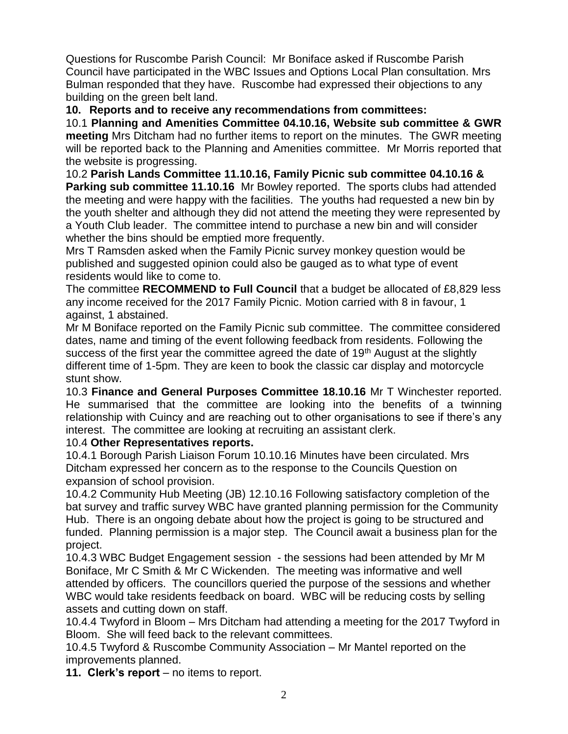Questions for Ruscombe Parish Council: Mr Boniface asked if Ruscombe Parish Council have participated in the WBC Issues and Options Local Plan consultation. Mrs Bulman responded that they have. Ruscombe had expressed their objections to any building on the green belt land.

**10. Reports and to receive any recommendations from committees:**

10.1 **Planning and Amenities Committee 04.10.16, Website sub committee & GWR meeting** Mrs Ditcham had no further items to report on the minutes. The GWR meeting will be reported back to the Planning and Amenities committee. Mr Morris reported that the website is progressing.

10.2 **Parish Lands Committee 11.10.16, Family Picnic sub committee 04.10.16 & Parking sub committee 11.10.16** Mr Bowley reported. The sports clubs had attended the meeting and were happy with the facilities. The youths had requested a new bin by the youth shelter and although they did not attend the meeting they were represented by a Youth Club leader. The committee intend to purchase a new bin and will consider whether the bins should be emptied more frequently.

Mrs T Ramsden asked when the Family Picnic survey monkey question would be published and suggested opinion could also be gauged as to what type of event residents would like to come to.

The committee **RECOMMEND to Full Council** that a budget be allocated of £8,829 less any income received for the 2017 Family Picnic. Motion carried with 8 in favour, 1 against, 1 abstained.

Mr M Boniface reported on the Family Picnic sub committee. The committee considered dates, name and timing of the event following feedback from residents. Following the success of the first year the committee agreed the date of 19<sup>th</sup> August at the slightly different time of 1-5pm. They are keen to book the classic car display and motorcycle stunt show.

10.3 **Finance and General Purposes Committee 18.10.16** Mr T Winchester reported. He summarised that the committee are looking into the benefits of a twinning relationship with Cuincy and are reaching out to other organisations to see if there's any interest. The committee are looking at recruiting an assistant clerk.

### 10.4 **Other Representatives reports.**

10.4.1 Borough Parish Liaison Forum 10.10.16 Minutes have been circulated. Mrs Ditcham expressed her concern as to the response to the Councils Question on expansion of school provision.

10.4.2 Community Hub Meeting (JB) 12.10.16 Following satisfactory completion of the bat survey and traffic survey WBC have granted planning permission for the Community Hub. There is an ongoing debate about how the project is going to be structured and funded. Planning permission is a major step. The Council await a business plan for the project.

10.4.3 WBC Budget Engagement session - the sessions had been attended by Mr M Boniface, Mr C Smith & Mr C Wickenden. The meeting was informative and well attended by officers. The councillors queried the purpose of the sessions and whether WBC would take residents feedback on board. WBC will be reducing costs by selling assets and cutting down on staff.

10.4.4 Twyford in Bloom – Mrs Ditcham had attending a meeting for the 2017 Twyford in Bloom. She will feed back to the relevant committees.

10.4.5 Twyford & Ruscombe Community Association – Mr Mantel reported on the improvements planned.

**11. Clerk's report** – no items to report.